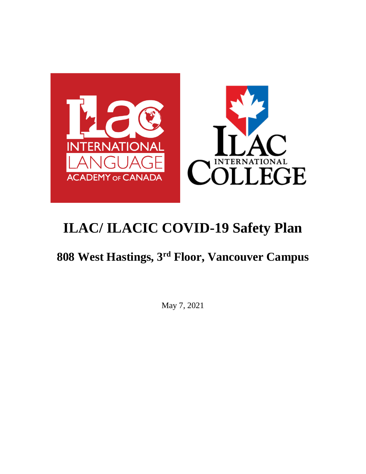

## **808 West Hastings, 3rd Floor, Vancouver Campus**

May 7, 2021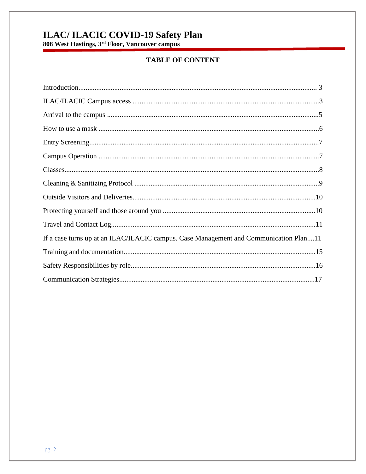# **ILAC/ ILACIC COVID-19 Safety Plan**<br>808 West Hastings, 3<sup>rd</sup> Floor, Vancouver campus

## **TABLE OF CONTENT**

| If a case turns up at an ILAC/ILACIC campus. Case Management and Communication Plan11 |
|---------------------------------------------------------------------------------------|
|                                                                                       |
|                                                                                       |
|                                                                                       |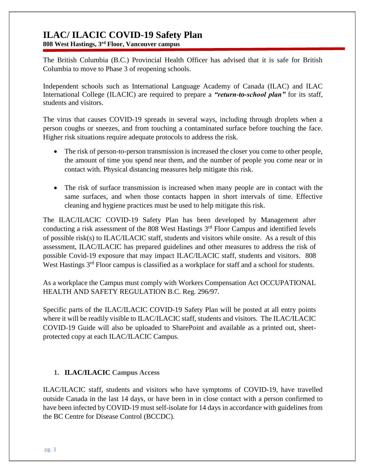**808 West Hastings, 3rd Floor, Vancouver campus**

The British Columbia (B.C.) Provincial Health Officer has advised that it is safe for British Columbia to move to Phase 3 of reopening schools.

Independent schools such as International Language Academy of Canada (ILAC) and ILAC International College (ILACIC) are required to prepare a *"return-to-school plan"* for its staff, students and visitors.

The virus that causes COVID-19 spreads in several ways, including through droplets when a person coughs or sneezes, and from touching a contaminated surface before touching the face. Higher risk situations require adequate protocols to address the risk.

- The risk of person-to-person transmission is increased the closer you come to other people, the amount of time you spend near them, and the number of people you come near or in contact with. Physical distancing measures help mitigate this risk.
- The risk of surface transmission is increased when many people are in contact with the same surfaces, and when those contacts happen in short intervals of time. Effective cleaning and hygiene practices must be used to help mitigate this risk.

The ILAC/ILACIC COVID-19 Safety Plan has been developed by Management after conducting a risk assessment of the 808 West Hastings  $3<sup>rd</sup>$  Floor Campus and identified levels of possible risk(s) to ILAC/ILACIC staff, students and visitors while onsite. As a result of this assessment, ILAC/ILACIC has prepared guidelines and other measures to address the risk of possible Covid-19 exposure that may impact ILAC/ILACIC staff, students and visitors. 808 West Hastings 3<sup>rd</sup> Floor campus is classified as a workplace for staff and a school for students.

As a workplace the Campus must comply with Workers Compensation Act OCCUPATIONAL HEALTH AND SAFETY REGULATION B.C. Reg. 296/97.

Specific parts of the ILAC/ILACIC COVID-19 Safety Plan will be posted at all entry points where it will be readily visible to ILAC/ILACIC staff, students and visitors. The ILAC/ILACIC COVID-19 Guide will also be uploaded to SharePoint and available as a printed out, sheetprotected copy at each ILAC/ILACIC Campus.

#### **1. ILAC/ILACIC Campus Access**

ILAC/ILACIC staff, students and visitors who have symptoms of COVID-19, have travelled outside Canada in the last 14 days, or have been in in close contact with a person confirmed to have been infected by COVID-19 must self-isolate for 14 days in accordance with guidelines from the [BC Centre for Disease Control](http://www.bccdc.ca/health-info/diseases-conditions/covid-19/about-covid-19/if-you-are-sick) (BCCDC).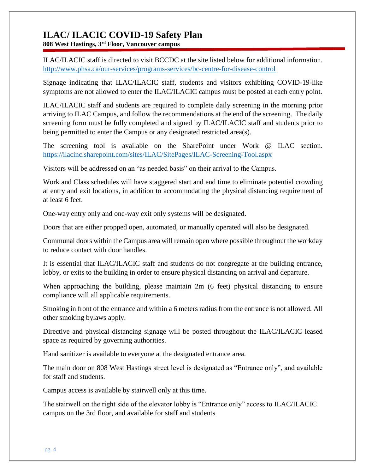**808 West Hastings, 3rd Floor, Vancouver campus**

ILAC/ILACIC staff is directed to visit BCCDC at the site listed below for additional information. <http://www.phsa.ca/our-services/programs-services/bc-centre-for-disease-control>

Signage indicating that ILAC/ILACIC staff, students and visitors exhibiting COVID-19-like symptoms are not allowed to enter the ILAC/ILACIC campus must be posted at each entry point.

ILAC/ILACIC staff and students are required to complete daily screening in the morning prior arriving to ILAC Campus, and follow the recommendations at the end of the screening. The daily screening form must be fully completed and signed by ILAC/ILACIC staff and students prior to being permitted to enter the Campus or any designated restricted area(s).

The screening tool is available on the SharePoint under Work @ ILAC section. <https://ilacinc.sharepoint.com/sites/ILAC/SitePages/ILAC-Screening-Tool.aspx>

Visitors will be addressed on an "as needed basis" on their arrival to the Campus.

Work and Class schedules will have staggered start and end time to eliminate potential crowding at entry and exit locations, in addition to accommodating the physical distancing requirement of at least 6 feet.

One-way entry only and one-way exit only systems will be designated.

Doors that are either propped open, automated, or manually operated will also be designated.

Communal doors within the Campus area will remain open where possible throughout the workday to reduce contact with door handles.

It is essential that ILAC/ILACIC staff and students do not congregate at the building entrance, lobby, or exits to the building in order to ensure physical distancing on arrival and departure.

When approaching the building, please maintain 2m (6 feet) physical distancing to ensure compliance will all applicable requirements.

Smoking in front of the entrance and within a 6 meters radius from the entrance is not allowed. All other smoking bylaws apply.

Directive and physical distancing signage will be posted throughout the ILAC/ILACIC leased space as required by governing authorities.

Hand sanitizer is available to everyone at the designated entrance area.

The main door on 808 West Hastings street level is designated as "Entrance only", and available for staff and students.

Campus access is available by stairwell only at this time.

The stairwell on the right side of the elevator lobby is "Entrance only" access to ILAC/ILACIC campus on the 3rd floor, and available for staff and students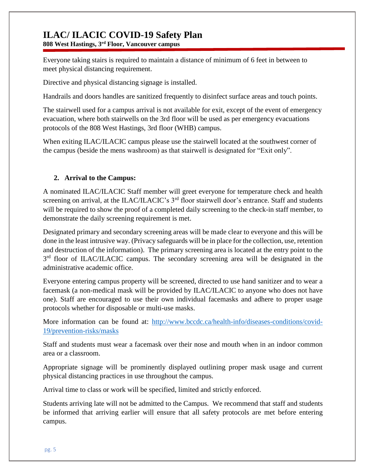**808 West Hastings, 3rd Floor, Vancouver campus**

Everyone taking stairs is required to maintain a distance of minimum of 6 feet in between to meet physical distancing requirement.

Directive and physical distancing signage is installed.

Handrails and doors handles are sanitized frequently to disinfect surface areas and touch points.

The stairwell used for a campus arrival is not available for exit, except of the event of emergency evacuation, where both stairwells on the 3rd floor will be used as per emergency evacuations protocols of the 808 West Hastings, 3rd floor (WHB) campus.

When exiting ILAC/ILACIC campus please use the stairwell located at the southwest corner of the campus (beside the mens washroom) as that stairwell is designated for "Exit only".

#### **2. Arrival to the Campus:**

A nominated ILAC/ILACIC Staff member will greet everyone for temperature check and health screening on arrival, at the ILAC/ILACIC's 3<sup>rd</sup> floor stairwell door's entrance. Staff and students will be required to show the proof of a completed daily screening to the check-in staff member, to demonstrate the daily screening requirement is met.

Designated primary and secondary screening areas will be made clear to everyone and this will be done in the least intrusive way. (Privacy safeguards will be in place for the collection, use, retention and destruction of the information). The primary screening area is located at the entry point to the 3<sup>rd</sup> floor of ILAC/ILACIC campus. The secondary screening area will be designated in the administrative academic office.

Everyone entering campus property will be screened, directed to use hand sanitizer and to wear a facemask (a non-medical mask will be provided by ILAC/ILACIC to anyone who does not have one). Staff are encouraged to use their own individual facemasks and adhere to proper usage protocols whether for disposable or multi-use masks.

More information can be found at: [http://www.bccdc.ca/health-info/diseases-conditions/covid-](http://www.bccdc.ca/health-info/diseases-conditions/covid-19/prevention-risks/masks)[19/prevention-risks/masks](http://www.bccdc.ca/health-info/diseases-conditions/covid-19/prevention-risks/masks)

Staff and students must wear a facemask over their nose and mouth when in an indoor common area or a classroom.

Appropriate signage will be prominently displayed outlining proper mask usage and current physical distancing practices in use throughout the campus.

Arrival time to class or work will be specified, limited and strictly enforced.

Students arriving late will not be admitted to the Campus. We recommend that staff and students be informed that arriving earlier will ensure that all safety protocols are met before entering campus.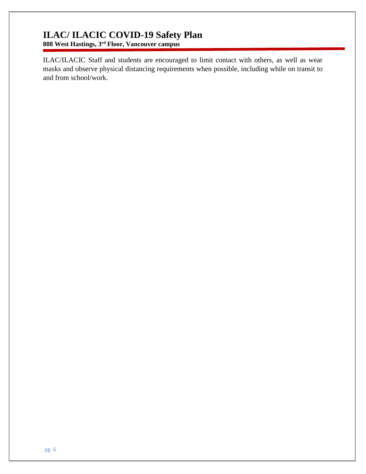**808 West Hastings, 3rd Floor, Vancouver campus**

ILAC/ILACIC Staff and students are encouraged to limit contact with others, as well as wear masks and observe physical distancing requirements when possible, including while on transit to and from school/work.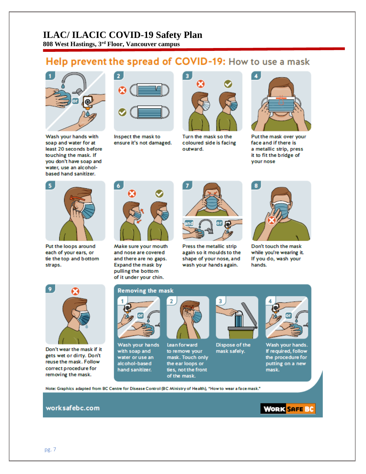**808 West Hastings, 3rd Floor, Vancouver campus**

## Help prevent the spread of COVID-19: How to use a mask



Wash your hands with soap and water for at least 20 seconds before touching the mask. If you don't have soap and water, use an alcoholbased hand sanitizer.



Inspect the mask to ensure it's not damaged.



Turn the mask so the coloured side is facing outward.



Put the mask over your face and if there is a metallic strip, press it to fit the bridge of your nose



Put the loops around each of your ears, or tie the top and bottom straps.



Make sure your mouth and nose are covered and there are no gaps. Expand the mask by pulling the bottom of it under your chin.



Press the metallic strip again so it moulds to the shape of your nose, and wash your hands again.



Don't touch the mask while you're wearing it. If you do, wash your hands.



Don't wear the mask if it gets wet or dirty. Don't reuse the mask. Follow correct procedure for removing the mask.

#### **Removing the mask**



Wash your hands with soap and water or use an alcohol-based hand sanitizer.



Lean forward to remove your mask. Touch only the ear loops or ties, not the front of the mask.



Dispose of the mask safely.



Wash your hands. If required, follow the procedure for putting on a new mask.

Note: Graphics adapted from BC Centre for Disease Control (BC Ministry of Health), "How to wear a face mask."

#### worksafebc.com

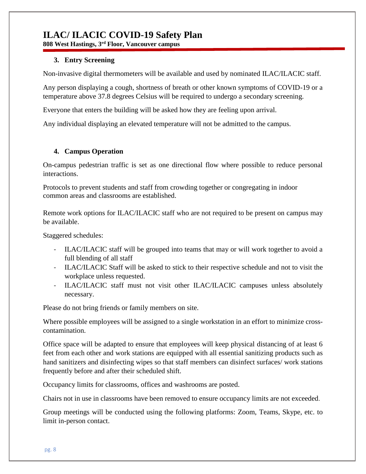**808 West Hastings, 3rd Floor, Vancouver campus**

#### **3. Entry Screening**

Non-invasive digital thermometers will be available and used by nominated ILAC/ILACIC staff.

Any person displaying a cough, shortness of breath or other known symptoms of COVID-19 or a temperature above 37.8 degrees Celsius will be required to undergo a secondary screening.

Everyone that enters the building will be asked how they are feeling upon arrival.

Any individual displaying an elevated temperature will not be admitted to the campus.

#### **4. Campus Operation**

On-campus pedestrian traffic is set as one directional flow where possible to reduce personal interactions.

Protocols to prevent students and staff from crowding together or congregating in indoor common areas and classrooms are established.

Remote work options for ILAC/ILACIC staff who are not required to be present on campus may be available.

Staggered schedules:

- ILAC/ILACIC staff will be grouped into teams that may or will work together to avoid a full blending of all staff
- ILAC/ILACIC Staff will be asked to stick to their respective schedule and not to visit the workplace unless requested.
- ILAC/ILACIC staff must not visit other ILAC/ILACIC campuses unless absolutely necessary.

Please do not bring friends or family members on site.

Where possible employees will be assigned to a single workstation in an effort to minimize crosscontamination.

Office space will be adapted to ensure that employees will keep physical distancing of at least 6 feet from each other and work stations are equipped with all essential sanitizing products such as hand sanitizers and disinfecting wipes so that staff members can disinfect surfaces/ work stations frequently before and after their scheduled shift.

[Occupancy limits](https://www.worksafebc.com/en/resources/health-safety/posters/help-prevent-spread-covid-19-occupancy-limit?lang=en) for classrooms, offices and washrooms are posted.

Chairs not in use in classrooms have been removed to ensure occupancy limits are not exceeded.

Group meetings will be conducted using the following platforms: Zoom, Teams, Skype, etc. to limit in-person contact.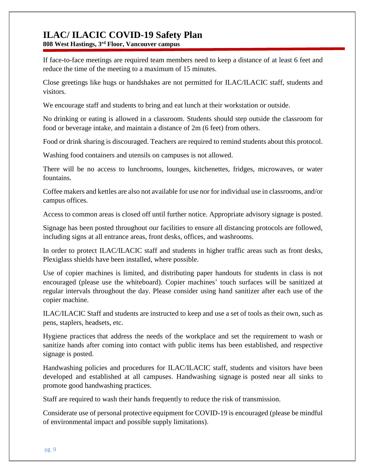**808 West Hastings, 3rd Floor, Vancouver campus**

If face-to-face meetings are required team members need to keep a distance of at least 6 feet and reduce the time of the meeting to a maximum of 15 minutes.

Close greetings like hugs or handshakes are not permitted for ILAC/ILACIC staff, students and visitors.

We encourage staff and students to bring and eat lunch at their workstation or outside.

No drinking or eating is allowed in a classroom. Students should step outside the classroom for food or beverage intake, and maintain a distance of 2m (6 feet) from others.

Food or drink sharing is discouraged. Teachers are required to remind students about this protocol.

Washing food containers and utensils on campuses is not allowed.

There will be no access to lunchrooms, lounges, kitchenettes, fridges, microwaves, or water fountains.

Coffee makers and kettles are also not available for use nor for individual use in classrooms, and/or campus offices.

Access to common areas is closed off until further notice. Appropriate advisory signage is posted.

Signage has been posted throughout our facilities to ensure all distancing protocols are followed, including signs at all entrance areas, front desks, offices, and washrooms.

In order to protect ILAC/ILACIC staff and students in higher traffic areas such as front desks, Plexiglass shields have been installed, where possible.

Use of copier machines is limited, and distributing paper handouts for students in class is not encouraged (please use the whiteboard). Copier machines' touch surfaces will be sanitized at regular intervals throughout the day. Please consider using hand sanitizer after each use of the copier machine.

ILAC/ILACIC Staff and students are instructed to keep and use a set of tools as their own, such as pens, staplers, headsets, etc.

[Hygiene practices](https://www.worksafebc.com/en/resources/health-safety/posters/help-prevent-spread-covid-19-handwashing?lang=en) that address the needs of the workplace and set the requirement to wash or sanitize hands after coming into contact with public items has been established, and respective signage is posted.

Handwashing policies and procedures for ILAC/ILACIC staff, students and visitors have been developed and established at all campuses. [Handwashing signage](https://www.worksafebc.com/en/resources/health-safety/posters/help-prevent-spread-covid-19-handwashing?lang=en) is posted near all sinks to promote good handwashing practices.

Staff are required to wash their hands frequently to reduce the risk of transmission.

Considerate use of personal protective equipment for COVID-19 is encouraged (please be mindful of environmental impact and possible supply limitations).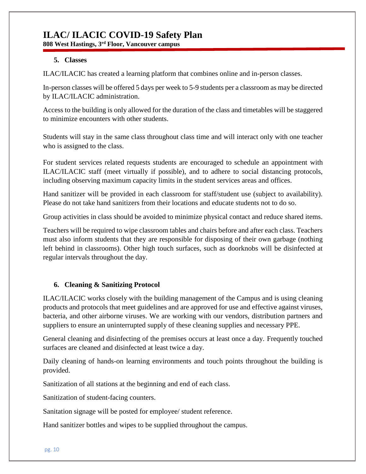**808 West Hastings, 3rd Floor, Vancouver campus**

#### **5. Classes**

ILAC/ILACIC has created a learning platform that combines online and in-person classes.

In-person classes will be offered 5 days per week to 5-9 students per a classroom as may be directed by ILAC/ILACIC administration.

Access to the building is only allowed for the duration of the class and timetables will be staggered to minimize encounters with other students.

Students will stay in the same class throughout class time and will interact only with one teacher who is assigned to the class.

For student services related requests students are encouraged to schedule an appointment with ILAC/ILACIC staff (meet virtually if possible), and to adhere to social distancing protocols, including observing maximum capacity limits in the student services areas and offices.

Hand sanitizer will be provided in each classroom for staff/student use (subject to availability). Please do not take hand sanitizers from their locations and educate students not to do so.

Group activities in class should be avoided to minimize physical contact and reduce shared items.

Teachers will be required to wipe classroom tables and chairs before and after each class. Teachers must also inform students that they are responsible for disposing of their own garbage (nothing left behind in classrooms). Other high touch surfaces, such as doorknobs will be disinfected at regular intervals throughout the day.

#### **6. Cleaning & Sanitizing Protocol**

ILAC/ILACIC works closely with the building management of the Campus and is using cleaning products and protocols that meet guidelines and are approved for use and effective against viruses, bacteria, and other airborne viruses. We are working with our vendors, distribution partners and suppliers to ensure an uninterrupted supply of these cleaning supplies and necessary PPE.

General cleaning and disinfecting of the premises occurs at least once a day. Frequently touched surfaces are cleaned and disinfected at least twice a day.

Daily cleaning of hands-on learning environments and touch points throughout the building is provided.

Sanitization of all stations at the beginning and end of each class.

Sanitization of student-facing counters.

Sanitation signage will be posted for employee/ student reference.

Hand sanitizer bottles and wipes to be supplied throughout the campus.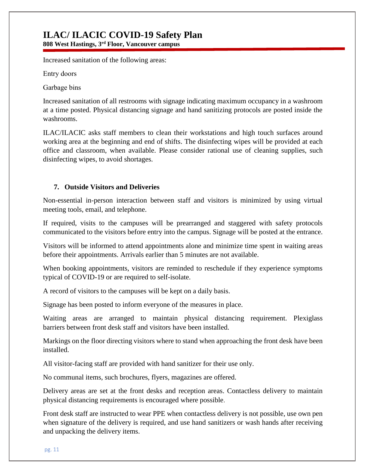**808 West Hastings, 3rd Floor, Vancouver campus**

Increased sanitation of the following areas:

Entry doors 

Garbage bins 

Increased sanitation of all restrooms with signage indicating maximum occupancy in a washroom at a time posted. Physical distancing signage and hand sanitizing protocols are posted inside the washrooms.

ILAC/ILACIC asks staff members to clean their workstations and high touch surfaces around working area at the beginning and end of shifts. The disinfecting wipes will be provided at each office and classroom, when available. Please consider rational use of cleaning supplies, such disinfecting wipes, to avoid shortages.

#### **7. Outside Visitors and Deliveries**

Non-essential in-person interaction between staff and visitors is minimized by using virtual meeting tools, email, and telephone.

If required, visits to the campuses will be prearranged and staggered with safety protocols communicated to the visitors before entry into the campus. Signage will be posted at the entrance.

Visitors will be informed to attend appointments alone and minimize time spent in waiting areas before their appointments. Arrivals earlier than 5 minutes are not available.

When booking appointments, visitors are reminded to reschedule if they experience symptoms typical of COVID-19 or are required to self-isolate.

A record of visitors to the campuses will be kept on a daily basis.

Signage has been posted to inform everyone of the measures in place.

Waiting areas are arranged to maintain physical distancing requirement. Plexiglass barriers between front desk staff and visitors have been installed.

Markings on the floor directing visitors where to stand when approaching the front desk have been installed.

All visitor-facing staff are provided with hand sanitizer for their use only.

No communal items, such brochures, flyers, magazines are offered.

Delivery areas are set at the front desks and reception areas. Contactless delivery to maintain physical distancing requirements is encouraged where possible.

Front desk staff are instructed to wear PPE when contactless delivery is not possible, use own pen when signature of the delivery is required, and use hand sanitizers or wash hands after receiving and unpacking the delivery items.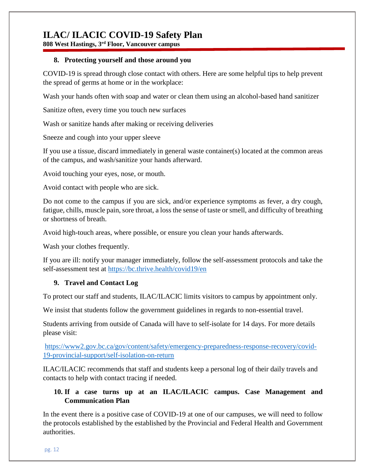**808 West Hastings, 3rd Floor, Vancouver campus**

#### **8. Protecting yourself and those around you**

COVID-19 is spread through close contact with others. Here are some helpful tips to help prevent the spread of germs at home or in the workplace:

Wash your hands often with soap and water or clean them using an alcohol-based hand sanitizer

Sanitize often, every time you touch new surfaces

Wash or sanitize hands after making or receiving deliveries

Sneeze and cough into your upper sleeve

If you use a tissue, discard immediately in general waste container(s) located at the common areas of the campus, and wash/sanitize your hands afterward.

Avoid touching your eyes, nose, or mouth.

Avoid contact with people who are sick.

Do not come to the campus if you are sick, and/or experience symptoms as fever, a dry cough, fatigue, chills, muscle pain, sore throat, a loss the sense of taste or smell, and difficulty of breathing or shortness of breath.

Avoid high-touch areas, where possible, or ensure you clean your hands afterwards.

Wash your clothes frequently.

If you are ill: notify your manager immediately, follow the self-assessment protocols and take the self-assessment test at <https://bc.thrive.health/covid19/en>

#### **9. Travel and Contact Log**

To protect our staff and students, ILAC/ILACIC limits visitors to campus by appointment only.

We insist that students follow the government guidelines in regards to non-essential travel.

Students arriving from outside of Canada will have to self-isolate for 14 days. For more details please visit:

[https://www2.gov.bc.ca/gov/content/safety/emergency-preparedness-response-recovery/covid-](https://www2.gov.bc.ca/gov/content/safety/emergency-preparedness-response-recovery/covid-19-provincial-support/self-isolation-on-return)[19-provincial-support/self-isolation-on-return](https://www2.gov.bc.ca/gov/content/safety/emergency-preparedness-response-recovery/covid-19-provincial-support/self-isolation-on-return)

ILAC/ILACIC recommends that staff and students keep a personal log of their daily travels and contacts to help with contact tracing if needed.

#### **10. If a case turns up at an ILAC/ILACIC campus. Case Management and Communication Plan**

In the event there is a positive case of COVID-19 at one of our campuses, we will need to follow the protocols established by the established by the Provincial and Federal Health and Government authorities.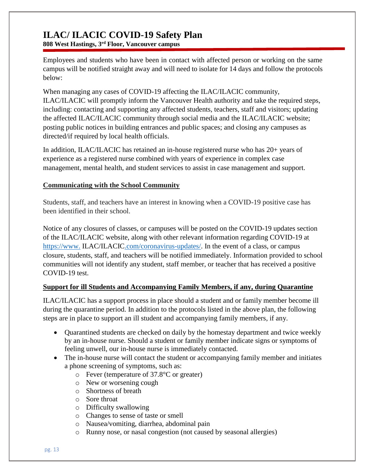**808 West Hastings, 3rd Floor, Vancouver campus**

Employees and students who have been in contact with affected person or working on the same campus will be notified straight away and will need to isolate for 14 days and follow the protocols below:

When managing any cases of COVID-19 affecting the ILAC/ILACIC community, ILAC/ILACIC will promptly inform the Vancouver Health authority and take the required steps, including: contacting and supporting any affected students, teachers, staff and visitors; updating the affected ILAC/ILACIC community through social media and the ILAC/ILACIC website; posting public notices in building entrances and public spaces; and closing any campuses as directed/if required by local health officials.

In addition, ILAC/ILACIC has retained an in-house registered nurse who has 20+ years of experience as a registered nurse combined with years of experience in complex case management, mental health, and student services to assist in case management and support.

#### **Communicating with the School Community**

Students, staff, and teachers have an interest in knowing when a COVID-19 positive case has been identified in their school.

Notice of any closures of classes, or campuses will be posted on the COVID-19 updates section of the ILAC/ILACIC website, along with other relevant information regarding COVID-19 at https://www. [ILAC/ILACIC.com/coronavirus-updates/.](https://www.ilac.com/coronavirus-updates/) In the event of a class, or campus closure, students, staff, and teachers will be notified immediately. Information provided to school communities will not identify any student, staff member, or teacher that has received a positive COVID-19 test.

#### **Support for ill Students and Accompanying Family Members, if any, during Quarantine**

ILAC/ILACIC has a support process in place should a student and or family member become ill during the quarantine period. In addition to the protocols listed in the above plan, the following steps are in place to support an ill student and accompanying family members, if any.

- Quarantined students are checked on daily by the homestay department and twice weekly by an in-house nurse. Should a student or family member indicate signs or symptoms of feeling unwell, our in-house nurse is immediately contacted.
- The in-house nurse will contact the student or accompanying family member and initiates a phone screening of symptoms, such as:
	- o Fever (temperature of 37.8°C or greater)
	- o New or worsening cough
	- o Shortness of breath
	- o Sore throat
	- o Difficulty swallowing
	- o Changes to sense of taste or smell
	- o Nausea/vomiting, diarrhea, abdominal pain
	- o Runny nose, or nasal congestion (not caused by seasonal allergies)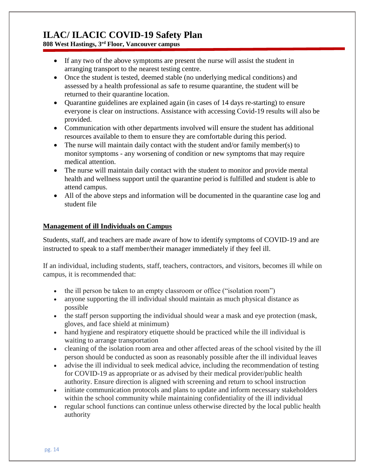**808 West Hastings, 3rd Floor, Vancouver campus**

- If any two of the above symptoms are present the nurse will assist the student in arranging transport to the nearest testing centre.
- Once the student is tested, deemed stable (no underlying medical conditions) and assessed by a health professional as safe to resume quarantine, the student will be returned to their quarantine location.
- Quarantine guidelines are explained again (in cases of 14 days re-starting) to ensure everyone is clear on instructions. Assistance with accessing Covid-19 results will also be provided.
- Communication with other departments involved will ensure the student has additional resources available to them to ensure they are comfortable during this period.
- The nurse will maintain daily contact with the student and/or family member(s) to monitor symptoms - any worsening of condition or new symptoms that may require medical attention.
- The nurse will maintain daily contact with the student to monitor and provide mental health and wellness support until the quarantine period is fulfilled and student is able to attend campus.
- All of the above steps and information will be documented in the quarantine case log and student file

#### **Management of ill Individuals on Campus**

Students, staff, and teachers are made aware of how to identify symptoms of COVID-19 and are instructed to speak to a staff member/their manager immediately if they feel ill.

If an individual, including students, staff, teachers, contractors, and visitors, becomes ill while on campus, it is recommended that:

- the ill person be taken to an empty classroom or office ("isolation room")
- anyone supporting the ill individual should maintain as much physical distance as possible
- the staff person supporting the individual should wear a mask and eye protection (mask, gloves, and face shield at minimum)
- hand hygiene and respiratory etiquette should be practiced while the ill individual is waiting to arrange transportation
- cleaning of the isolation room area and other affected areas of the school visited by the ill person should be conducted as soon as reasonably possible after the ill individual leaves
- advise the ill individual to seek medical advice, including the recommendation of testing for COVID-19 as appropriate or as advised by their medical provider/public health authority. Ensure direction is aligned with screening and return to school instruction
- $\bullet$  initiate communication protocols and plans to update and inform necessary stakeholders within the school community while maintaining confidentiality of the ill individual
- regular school functions can continue unless otherwise directed by the local public health authority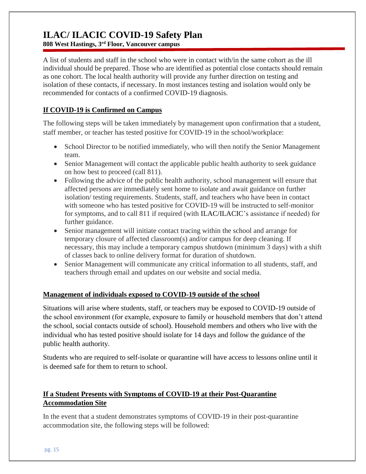**808 West Hastings, 3rd Floor, Vancouver campus**

A list of students and staff in the school who were in contact with/in the same cohort as the ill individual should be prepared. Those who are identified as potential close contacts should remain as one cohort. The local health authority will provide any further direction on testing and isolation of these contacts, if necessary. In most instances testing and isolation would only be recommended for contacts of a confirmed COVID-19 diagnosis.

#### **If COVID-19 is Confirmed on Campus**

The following steps will be taken immediately by management upon confirmation that a student, staff member, or teacher has tested positive for COVID-19 in the school/workplace:

- School Director to be notified immediately, who will then notify the Senior Management team.
- Senior Management will contact the applicable public health authority to seek guidance on how best to proceed (call 811).
- Following the advice of the public health authority, school management will ensure that affected persons are immediately sent home to isolate and await guidance on further isolation/ testing requirements. Students, staff, and teachers who have been in contact with someone who has tested positive for COVID-19 will be instructed to self-monitor for symptoms, and to call 811 if required (with ILAC/ILACIC's assistance if needed) for further guidance.
- Senior management will initiate contact tracing within the school and arrange for temporary closure of affected classroom(s) and/or campus for deep cleaning. If necessary, this may include a temporary campus shutdown (minimum 3 days) with a shift of classes back to online delivery format for duration of shutdown.
- Senior Management will communicate any critical information to all students, staff, and teachers through email and updates on our website and social media.

#### **Management of individuals exposed to COVID-19 outside of the school**

Situations will arise where students, staff, or teachers may be exposed to COVID-19 outside of the school environment (for example, exposure to family or household members that don't attend the school, social contacts outside of school). Household members and others who live with the individual who has tested positive should isolate for 14 days and follow the guidance of the public health authority.

Students who are required to self-isolate or quarantine will have access to lessons online until it is deemed safe for them to return to school.

#### **If a Student Presents with Symptoms of COVID-19 at their Post-Quarantine Accommodation Site**

In the event that a student demonstrates symptoms of COVID-19 in their post-quarantine accommodation site, the following steps will be followed: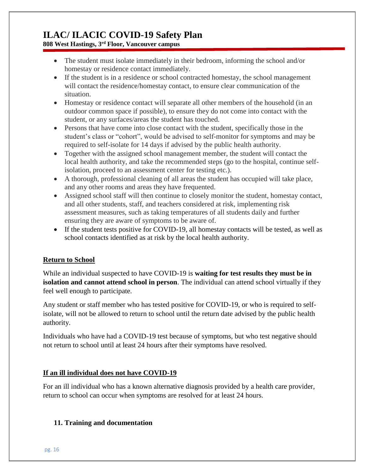**808 West Hastings, 3rd Floor, Vancouver campus**

- The student must isolate immediately in their bedroom, informing the school and/or homestay or residence contact immediately.
- If the student is in a residence or school contracted homestay, the school management will contact the residence/homestay contact, to ensure clear communication of the situation.
- Homestay or residence contact will separate all other members of the household (in an outdoor common space if possible), to ensure they do not come into contact with the student, or any surfaces/areas the student has touched.
- Persons that have come into close contact with the student, specifically those in the student's class or "cohort", would be advised to self-monitor for symptoms and may be required to self-isolate for 14 days if advised by the public health authority.
- Together with the assigned school management member, the student will contact the local health authority, and take the recommended steps (go to the hospital, continue selfisolation, proceed to an assessment center for testing etc.).
- A thorough, professional cleaning of all areas the student has occupied will take place, and any other rooms and areas they have frequented.
- Assigned school staff will then continue to closely monitor the student, homestay contact, and all other students, staff, and teachers considered at risk, implementing risk assessment measures, such as taking temperatures of all students daily and further ensuring they are aware of symptoms to be aware of.
- If the student tests positive for COVID-19, all homestay contacts will be tested, as well as school contacts identified as at risk by the local health authority.

#### **Return to School**

While an individual suspected to have COVID-19 is **waiting for test results they must be in isolation and cannot attend school in person**. The individual can attend school virtually if they feel well enough to participate.

Any student or staff member who has tested positive for COVID-19, or who is required to selfisolate, will not be allowed to return to school until the return date advised by the public health authority.

Individuals who have had a COVID-19 test because of symptoms, but who test negative should not return to school until at least 24 hours after their symptoms have resolved.

#### **If an ill individual does not have COVID-19**

For an ill individual who has a known alternative diagnosis provided by a health care provider, return to school can occur when symptoms are resolved for at least 24 hours.

#### **11. Training and documentation**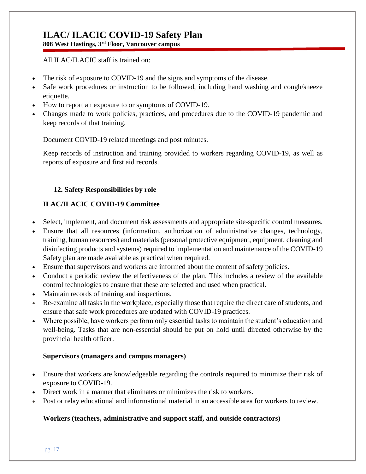**808 West Hastings, 3rd Floor, Vancouver campus**

All ILAC/ILACIC staff is trained on:

- The risk of exposure to COVID-19 and the signs and symptoms of the disease.
- Safe work procedures or instruction to be followed, including hand washing and cough/sneeze etiquette.
- How to report an exposure to or symptoms of COVID-19.
- Changes made to work policies, practices, and procedures due to the COVID-19 pandemic and keep records of that training.

Document COVID-19 related meetings and post minutes.

Keep records of instruction and training provided to workers regarding COVID-19, as well as reports of exposure and first aid records.

#### **12. Safety Responsibilities by role**

#### **ILAC/ILACIC COVID-19 Committee**

- Select, implement, and document risk assessments and appropriate site-specific control measures.
- Ensure that all resources (information, authorization of administrative changes, technology, training, human resources) and materials (personal protective equipment, equipment, cleaning and disinfecting products and systems) required to implementation and maintenance of the COVID-19 Safety plan are made available as practical when required.
- Ensure that supervisors and workers are informed about the content of safety policies.
- Conduct a periodic review the effectiveness of the plan. This includes a review of the available control technologies to ensure that these are selected and used when practical.
- Maintain records of training and inspections.
- Re-examine all tasks in the workplace, especially those that require the direct care of students, and ensure that safe work procedures are updated with COVID-19 practices.
- Where possible, have workers perform only essential tasks to maintain the student's education and well-being. Tasks that are non-essential should be put on hold until directed otherwise by the provincial health officer.

#### **Supervisors (managers and campus managers)**

- Ensure that workers are knowledgeable regarding the controls required to minimize their risk of exposure to COVID-19.
- Direct work in a manner that eliminates or minimizes the risk to workers.
- Post or relay educational and informational material in an accessible area for workers to review.

#### **Workers (teachers, administrative and support staff, and outside contractors)**